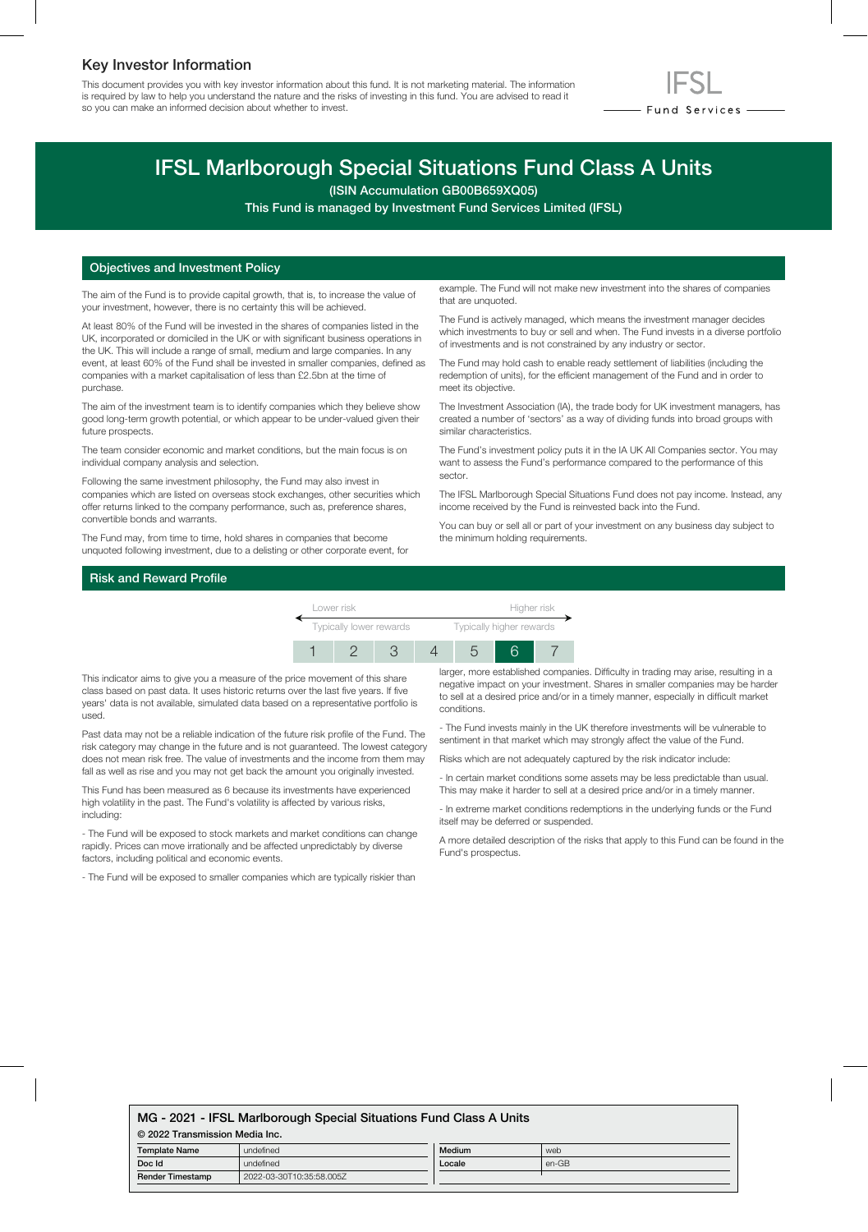# Key Investor Information

This document provides you with key investor information about this fund. It is not marketing material. The information is required by law to help you understand the nature and the risks of investing in this fund. You are advised to read it so you can make an informed decision about whether to invest.



# IFSL Marlborough Special Situations Fund Class A Units

(ISIN Accumulation GB00B659XQ05)

This Fund is managed by Investment Fund Services Limited (IFSL)

#### Objectives and Investment Policy

The aim of the Fund is to provide capital growth, that is, to increase the value of your investment, however, there is no certainty this will be achieved.

At least 80% of the Fund will be invested in the shares of companies listed in the UK, incorporated or domiciled in the UK or with significant business operations in the UK. This will include a range of small, medium and large companies. In any event, at least 60% of the Fund shall be invested in smaller companies, defined as companies with a market capitalisation of less than £2.5bn at the time of purchase.

The aim of the investment team is to identify companies which they believe show good long-term growth potential, or which appear to be under-valued given their future prospects.

The team consider economic and market conditions, but the main focus is on individual company analysis and selection.

Following the same investment philosophy, the Fund may also invest in companies which are listed on overseas stock exchanges, other securities which offer returns linked to the company performance, such as, preference shares, convertible bonds and warrants.

The Fund may, from time to time, hold shares in companies that become unquoted following investment, due to a delisting or other corporate event, for

example. The Fund will not make new investment into the shares of companies that are unquoted.

The Fund is actively managed, which means the investment manager decides which investments to buy or sell and when. The Fund invests in a diverse portfolio of investments and is not constrained by any industry or sector.

The Fund may hold cash to enable ready settlement of liabilities (including the redemption of units), for the efficient management of the Fund and in order to meet its objective.

The Investment Association (IA), the trade body for UK investment managers, has created a number of 'sectors' as a way of dividing funds into broad groups with similar characteristics.

The Fund's investment policy puts it in the IA UK All Companies sector. You may want to assess the Fund's performance compared to the performance of this sector.

The IFSL Marlborough Special Situations Fund does not pay income. Instead, any income received by the Fund is reinvested back into the Fund.

You can buy or sell all or part of your investment on any business day subject to the minimum holding requirements.

## Risk and Reward Profile



This indicator aims to give you a measure of the price movement of this share class based on past data. It uses historic returns over the last five years. If five years' data is not available, simulated data based on a representative portfolio is used.

Past data may not be a reliable indication of the future risk profile of the Fund. The risk category may change in the future and is not guaranteed. The lowest category does not mean risk free. The value of investments and the income from them may fall as well as rise and you may not get back the amount you originally invested.

This Fund has been measured as 6 because its investments have experienced high volatility in the past. The Fund's volatility is affected by various risks, including:

- The Fund will be exposed to stock markets and market conditions can change rapidly. Prices can move irrationally and be affected unpredictably by diverse factors, including political and economic events.

- The Fund will be exposed to smaller companies which are typically riskier than

larger, more established companies. Difficulty in trading may arise, resulting in a negative impact on your investment. Shares in smaller companies may be harder to sell at a desired price and/or in a timely manner, especially in difficult market conditions.

- The Fund invests mainly in the UK therefore investments will be vulnerable to sentiment in that market which may strongly affect the value of the Fund.

Risks which are not adequately captured by the risk indicator include:

- In certain market conditions some assets may be less predictable than usual. This may make it harder to sell at a desired price and/or in a timely manner.

- In extreme market conditions redemptions in the underlying funds or the Fund itself may be deferred or suspended.

A more detailed description of the risks that apply to this Fund can be found in the Fund's prospectus.